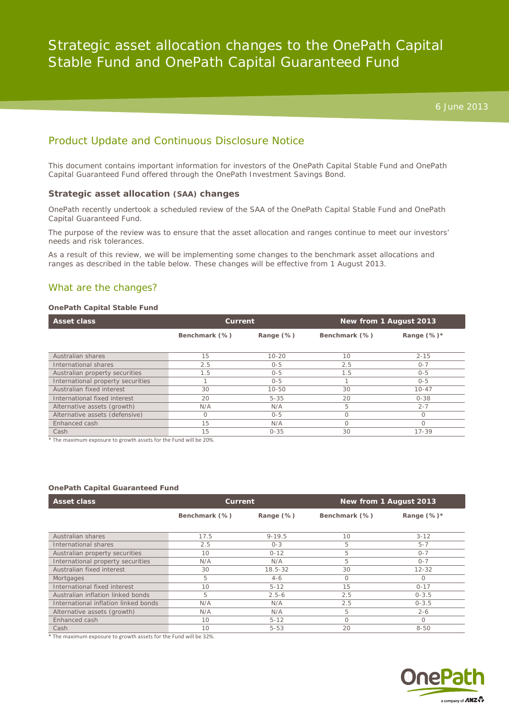# Product Update and Continuous Disclosure Notice

This document contains important information for investors of the OnePath Capital Stable Fund and OnePath Capital Guaranteed Fund offered through the OnePath Investment Savings Bond.

#### **Strategic asset allocation (SAA) changes**

OnePath recently undertook a scheduled review of the SAA of the OnePath Capital Stable Fund and OnePath Capital Guaranteed Fund.

The purpose of the review was to ensure that the asset allocation and ranges continue to meet our investors' needs and risk tolerances.

As a result of this review, we will be implementing some changes to the benchmark asset allocations and ranges as described in the table below. These changes will be effective from 1 August 2013.

# What are the changes?

#### **OnePath Capital Stable Fund**

| <b>Asset class</b>                | Current       |           | New from 1 August 2013 |                |
|-----------------------------------|---------------|-----------|------------------------|----------------|
|                                   | Benchmark (%) | Range (%) | Benchmark (%)          | Range $(\%)^*$ |
|                                   |               |           |                        |                |
| Australian shares                 | 15            | $10 - 20$ | 10                     | $2 - 15$       |
| International shares              | 2.5           | $0 - 5$   | 2.5                    | $O - 7$        |
| Australian property securities    | 1.5           | $0 - 5$   | 1.5                    | $0 - 5$        |
| International property securities |               | $0 - 5$   |                        | $0 - 5$        |
| Australian fixed interest         | 30            | $10 - 50$ | 30                     | $10 - 47$      |
| International fixed interest      | 20            | $5 - 35$  | 20                     | $0 - 38$       |
| Alternative assets (growth)       | N/A           | N/A       | 5                      | $2 - 7$        |
| Alternative assets (defensive)    | $\Omega$      | $0 - 5$   |                        | $\Omega$       |
| Enhanced cash                     | 15            | N/A       |                        |                |
| Cash                              | 15            | $0 - 35$  | 30                     | $17 - 39$      |

\* The maximum exposure to growth assets for the Fund will be 20%.

#### **OnePath Capital Guaranteed Fund**

| <b>Asset class</b>                   | Current       |             | New from 1 August 2013 |                |
|--------------------------------------|---------------|-------------|------------------------|----------------|
|                                      | Benchmark (%) | Range (%)   | Benchmark (%)          | Range $(\%)^*$ |
|                                      |               |             |                        |                |
| Australian shares                    | 17.5          | $9 - 19.5$  | 10                     | $3 - 12$       |
| International shares                 | 2.5           | $O - 3$     | 5                      | $5 - 7$        |
| Australian property securities       | 10            | $0 - 12$    | 5                      | $0 - 7$        |
| International property securities    | N/A           | N/A         | 5                      | $O - 7$        |
| Australian fixed interest            | 30            | $18.5 - 32$ | 30                     | $12 - 32$      |
| Mortgages                            | 5             | $4-6$       | Ω                      | 0              |
| International fixed interest         | 10            | $5 - 12$    | 15                     | $0 - 17$       |
| Australian inflation linked bonds    | 5             | $2.5 - 6$   | 2.5                    | $0 - 3.5$      |
| International inflation linked bonds | N/A           | N/A         | 2.5                    | $0 - 3.5$      |
| Alternative assets (growth)          | N/A           | N/A         | 5                      | $2 - 6$        |
| Enhanced cash                        | 10            | $5 - 12$    | $\Omega$               |                |
| Cash                                 | 10            | $5 - 53$    | 20                     | $8 - 50$       |

\* The maximum exposure to growth assets for the Fund will be 32%.